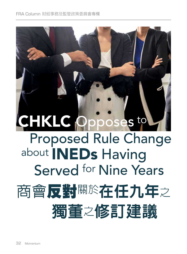## CHKLC Opposes to Proposed Rule Change about INEDs Having Served for Nine Years 商會反對關於在任九年之  **獨董**之**修訂建議**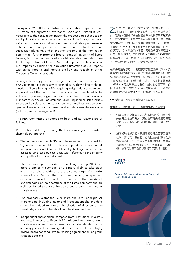In April 2021, HKEX published a consultation paper entitled<br>"Review of Corporate Governance Code and Related Rules". n April 2021, HKEX published a consultation paper entitled According to the consultation paper, the proposed rule changes aim to highlight the importance of corporate culture in alignment with vision and strategy to deliver long term sustainable performance; enhance board independence, promote board refreshment and succession planning, and strengthen the role of the nomination committee; further promote board (gender) diversity of listed issuers; improve communications with shareholders; elaborate the linkage between CG and ESG, and improve the timeliness of ESG reports by aligning the publication timeframe of ESG reports with annual reports; and improve the flow and readability of the Corporate Governance Code.

Amongst the many proposed changes, there are two areas that the FRA Committee is particularly concerned with. They relate to the reelection of Long Serving INEDs requiring independent shareholders' approval, and the notion that diversity is not considered to be achieved by a single gender board and the introduction of a Mandatory Disclosure Requirement (MDR) requiring all listed issuers to set and disclose numerical targets and timelines for achieving gender diversity at both (a) board level and (b) across the workforce (including senior management).

The FRA Committee disagrees to both and its reasons are as follows:

Re-election of Long Serving INEDs requiring independent shareholders' approval

- The assumption that INEDs who have served on a board for 9 years or more would lose their independence is not sound. Independence should not be defined by the length of tenure but assessed on a case-by-case basis with reference to the integrity and qualification of the individual.
- There is no empirical evidence that Long Serving INEDs are more prone to misconduct or are more likely to take sides with major shareholders to the disadvantage of minority shareholders. On the other hand, long serving independent directors can add value to a board with their in-depth understanding of the operations of the listed company and are well positioned to advise the board and protect the minority shareholders.
- The proposal violates the "One-share-one-vote" principle. All shareholders, including major and independent shareholders, should be entitled to vote on the election of directors of the board. Major shareholders should not be disenfranchised.
- Independent shareholders comprise both institutional investors and retail investors. Even INEDs elected by independent shareholders often times represent certain shareholder groups and may possess their own agenda. The result could be a highly divisive board not conducive to reaching agreement on long term strategic decisions.

2021<sup>年</sup>4月,聯交所刊發有關檢討《企業管治守則》 及相關《上市規則》條文的諮詢文件。根據諮詢文 件,建議的規則修訂旨在強調企業文化與願景和策略保 持一致的重要性,以實現長期可持續的業績;提升董事 會的獨立性,促進引入新成員及繼任規劃,及加強提名 委員會的作用;進一步推動上市發行人董事會(性別) 的多元化;改善與股東的溝通;闡述企業管治與環境、 社會及管治(ESG)之間的聯繫,並將刊發ESG報告的 時限與年報一致,提高ESG報告的及時性;以及改善 《企業管治守則》的行文以便發行人參閱。

在眾多建議的修訂中,財經事務及監管政策(FRA)委 員會尤其關注兩個方面。關乎修訂涉及重選長期任職的 獨立董事須經獨立股東批准,及只有單一性別的董事會 不會被視為多元化的董事會,以及引入強制披露要求 (MDR),要求所有上市發行人制定並披露可量化的 目標及時間表,以在(a)董事會層面及(b)所有僱 員層面(包括高級管理人員)均達到性別多元化。

FRA 委員會不同意此兩項修訂,理由如下:

重選長期任職的獨立非執行董事須經獨立股東批准

- 假設在董事會任職超過九年的獨立非執行董事會 失去獨立性並不妥當。獨立性不應由任期的長短 來界定,而應參照個人的誠信及資歷,逐一進行 評估。
- 沒有經驗證據表明,長期任職的獨立董事更容易 出現不當行為,或更有可能偏袒主要股東而對少 數股東不利。另一方面,長期任職的獨立董事可 憑藉其對公司營運的深入了解為董事會帶來價 值,並能夠為董事會提供建議及保護少數股東。

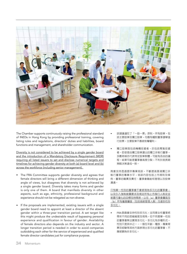

The Chamber supports continuously raising the professional standard of INEDs in Hong Kong by providing professional training, covering listing rules and regulations, directors' duties and liabilities, board functions and management, and shareholder communication.

Diversity is not considered to be achieved by a single gender board and the introduction of a Mandatory Disclosure Requirement (MDR) requiring all listed issuers to set and disclose numerical targets and timelines for achieving gender diversity at both (a) board level and (b) across the workforce (including senior management).

- The FRA Committee supports gender diversity and agrees that female directors will bring a different dimension of thinking and angle of views, but disagrees that diversity is not achieved by a single gender board. Diversity takes many forms and gender is only one of them. A board that manifests diversity in other aspects, such as age, ethnicity, professional background and experience should not be relegated as non-diverse.
- If the proposals are implemented, existing issuers with a single gender board need to appoint at least a director of the absent gender within a three-year transition period. A set target like this might produce the undesirable result of bypassing personal experience and qualification in favour of gender. Availability of female directors also depends on the industry and sector. A longer transition period is needed in order to avoid companies outbidding each other for the service of experienced and qualified female director candidates just for compliance purpose.
- 該建議違反了「一股一票」原則。所有股東,包 括主要股東及獨立股東,均應有權對董事選舉進 行投票。主要股東不應被剝奪權利。
- 獨立股東既包括機構投資者,亦包括零售投資 者。即使是由獨立股東選出的獨立非執行董事, 多數時候亦代表特定股東群體,可能有各自的議 程。結果可能是董事會高度分裂,不利於就長期 策略決策達成一致。

商會支持透過提供專業培訓,不斷提高香港獨立非 執行董事的專業水平,培訓內容包括上市規則及條 例、董事的職責及責任、董事會職能和管理以及股東 溝通。

只有單一性別的董事會不會被視為多元化的董事會, 以及引入強制披露要求及規定所有上市發行 披露可量化的目標及時間表,以在(a)董事會 (b)所有僱員層面(包括高級管理人員)均達到性別 多元化。

 FRA委員會支持性別多元化,並同意女性董事將 帶來不同的思維維度及視角,但不同意單一性別 的董事會無法實現多元化。多元化有多種形式, 性別只是其中之一。一個在年齡、種族、專業背 景及經驗等其他方面表現出多元化的董事會,不 應被歸為非多元化。